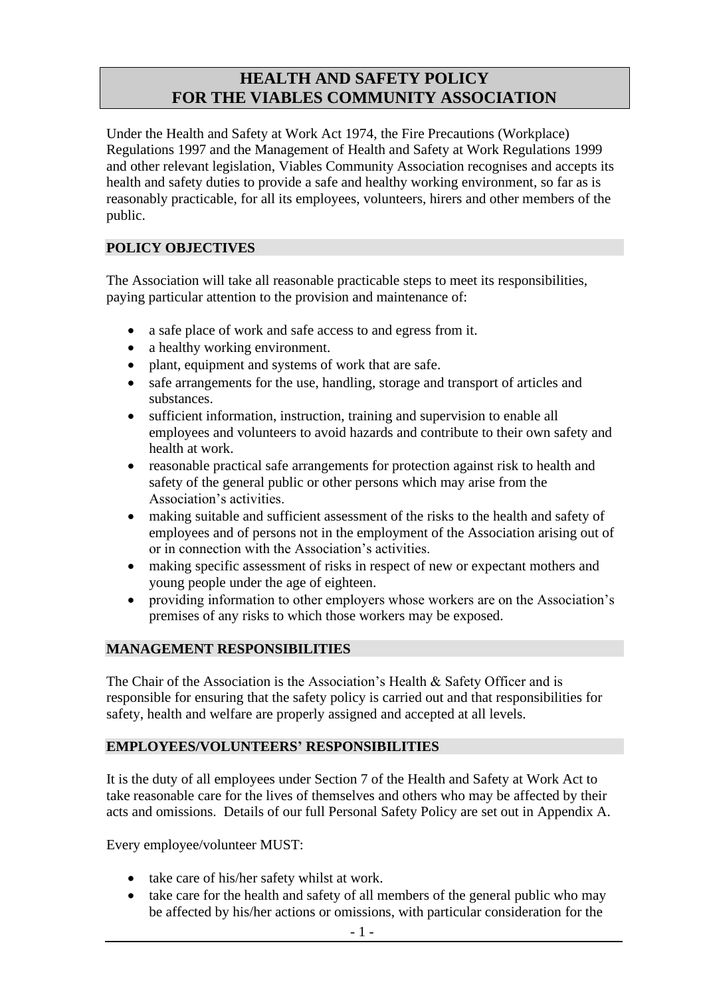## **HEALTH AND SAFETY POLICY FOR THE VIABLES COMMUNITY ASSOCIATION**

Under the Health and Safety at Work Act 1974, the Fire Precautions (Workplace) Regulations 1997 and the Management of Health and Safety at Work Regulations 1999 and other relevant legislation, Viables Community Association recognises and accepts its health and safety duties to provide a safe and healthy working environment, so far as is reasonably practicable, for all its employees, volunteers, hirers and other members of the public.

### **POLICY OBJECTIVES**

The Association will take all reasonable practicable steps to meet its responsibilities, paying particular attention to the provision and maintenance of:

- a safe place of work and safe access to and egress from it.
- a healthy working environment.
- plant, equipment and systems of work that are safe.
- safe arrangements for the use, handling, storage and transport of articles and substances.
- sufficient information, instruction, training and supervision to enable all employees and volunteers to avoid hazards and contribute to their own safety and health at work.
- reasonable practical safe arrangements for protection against risk to health and safety of the general public or other persons which may arise from the Association's activities.
- making suitable and sufficient assessment of the risks to the health and safety of employees and of persons not in the employment of the Association arising out of or in connection with the Association's activities.
- making specific assessment of risks in respect of new or expectant mothers and young people under the age of eighteen.
- providing information to other employers whose workers are on the Association's premises of any risks to which those workers may be exposed.

### **MANAGEMENT RESPONSIBILITIES**

The Chair of the Association is the Association's Health & Safety Officer and is responsible for ensuring that the safety policy is carried out and that responsibilities for safety, health and welfare are properly assigned and accepted at all levels.

### **EMPLOYEES/VOLUNTEERS' RESPONSIBILITIES**

It is the duty of all employees under Section 7 of the Health and Safety at Work Act to take reasonable care for the lives of themselves and others who may be affected by their acts and omissions. Details of our full Personal Safety Policy are set out in Appendix A.

Every employee/volunteer MUST:

- take care of his/her safety whilst at work.
- take care for the health and safety of all members of the general public who may be affected by his/her actions or omissions, with particular consideration for the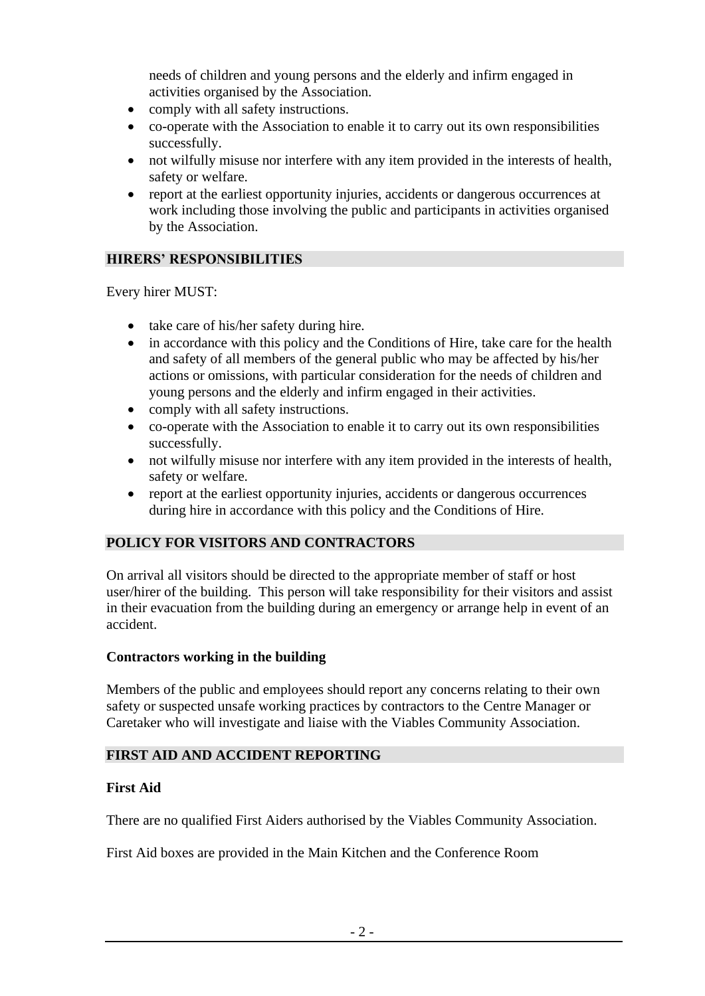needs of children and young persons and the elderly and infirm engaged in activities organised by the Association.

- comply with all safety instructions.
- co-operate with the Association to enable it to carry out its own responsibilities successfully.
- not wilfully misuse nor interfere with any item provided in the interests of health, safety or welfare.
- report at the earliest opportunity injuries, accidents or dangerous occurrences at work including those involving the public and participants in activities organised by the Association.

### **HIRERS' RESPONSIBILITIES**

Every hirer MUST:

- take care of his/her safety during hire.
- in accordance with this policy and the Conditions of Hire, take care for the health and safety of all members of the general public who may be affected by his/her actions or omissions, with particular consideration for the needs of children and young persons and the elderly and infirm engaged in their activities.
- comply with all safety instructions.
- co-operate with the Association to enable it to carry out its own responsibilities successfully.
- not wilfully misuse nor interfere with any item provided in the interests of health, safety or welfare.
- report at the earliest opportunity injuries, accidents or dangerous occurrences during hire in accordance with this policy and the Conditions of Hire.

### **POLICY FOR VISITORS AND CONTRACTORS**

On arrival all visitors should be directed to the appropriate member of staff or host user/hirer of the building. This person will take responsibility for their visitors and assist in their evacuation from the building during an emergency or arrange help in event of an accident.

### **Contractors working in the building**

Members of the public and employees should report any concerns relating to their own safety or suspected unsafe working practices by contractors to the Centre Manager or Caretaker who will investigate and liaise with the Viables Community Association.

### **FIRST AID AND ACCIDENT REPORTING**

### **First Aid**

There are no qualified First Aiders authorised by the Viables Community Association.

First Aid boxes are provided in the Main Kitchen and the Conference Room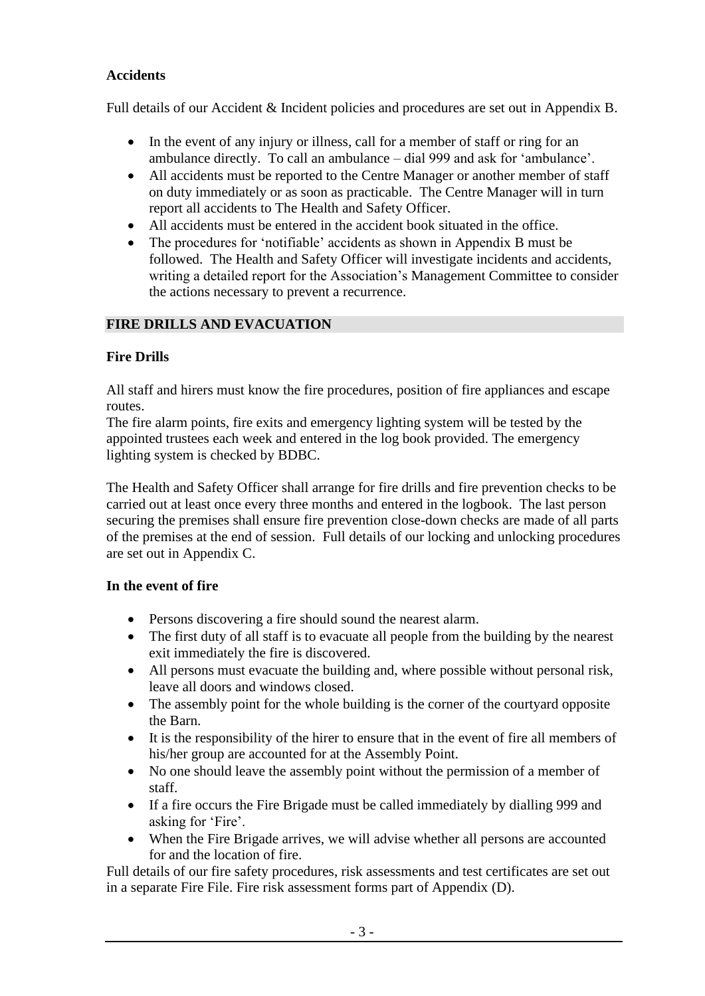## **Accidents**

Full details of our Accident & Incident policies and procedures are set out in Appendix B.

- In the event of any injury or illness, call for a member of staff or ring for an ambulance directly. To call an ambulance – dial 999 and ask for 'ambulance'.
- All accidents must be reported to the Centre Manager or another member of staff on duty immediately or as soon as practicable. The Centre Manager will in turn report all accidents to The Health and Safety Officer.
- All accidents must be entered in the accident book situated in the office.
- The procedures for 'notifiable' accidents as shown in Appendix B must be followed. The Health and Safety Officer will investigate incidents and accidents, writing a detailed report for the Association's Management Committee to consider the actions necessary to prevent a recurrence.

# **FIRE DRILLS AND EVACUATION**

## **Fire Drills**

All staff and hirers must know the fire procedures, position of fire appliances and escape routes.

The fire alarm points, fire exits and emergency lighting system will be tested by the appointed trustees each week and entered in the log book provided. The emergency lighting system is checked by BDBC.

The Health and Safety Officer shall arrange for fire drills and fire prevention checks to be carried out at least once every three months and entered in the logbook. The last person securing the premises shall ensure fire prevention close-down checks are made of all parts of the premises at the end of session. Full details of our locking and unlocking procedures are set out in Appendix C.

## **In the event of fire**

- Persons discovering a fire should sound the nearest alarm.
- The first duty of all staff is to evacuate all people from the building by the nearest exit immediately the fire is discovered.
- All persons must evacuate the building and, where possible without personal risk, leave all doors and windows closed.
- The assembly point for the whole building is the corner of the courtyard opposite the Barn.
- It is the responsibility of the hirer to ensure that in the event of fire all members of his/her group are accounted for at the Assembly Point.
- No one should leave the assembly point without the permission of a member of staff.
- If a fire occurs the Fire Brigade must be called immediately by dialling 999 and asking for 'Fire'.
- When the Fire Brigade arrives, we will advise whether all persons are accounted for and the location of fire.

Full details of our fire safety procedures, risk assessments and test certificates are set out in a separate Fire File. Fire risk assessment forms part of Appendix (D).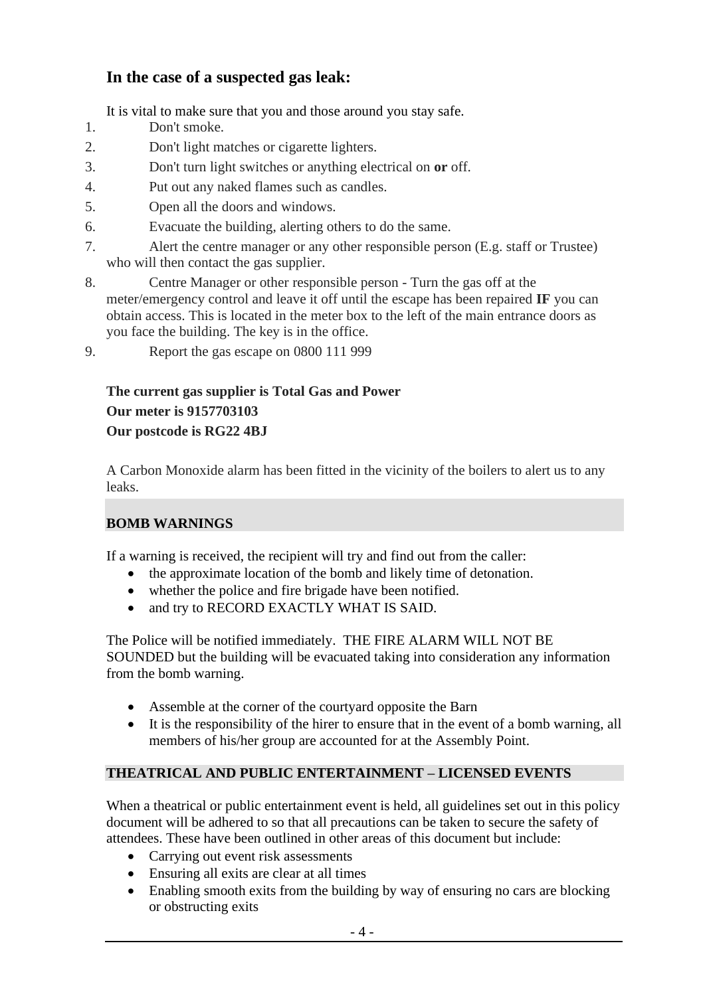# **In the case of a suspected gas leak:**

It is vital to make sure that you and those around you stay safe.

- 1. Don't smoke.
- 2. Don't light matches or cigarette lighters.
- 3. Don't turn light switches or anything electrical on **or** off.
- 4. Put out any naked flames such as candles.
- 5. Open all the doors and windows.
- 6. Evacuate the building, alerting others to do the same.
- 7. Alert the centre manager or any other responsible person (E.g. staff or Trustee) who will then contact the gas supplier.
- 8. Centre Manager or other responsible person Turn the gas off at the meter/emergency control and leave it off until the escape has been repaired **IF** you can obtain access. This is located in the meter box to the left of the main entrance doors as you face the building. The key is in the office.

9. Report the gas escape on 0800 111 999

## **The current gas supplier is Total Gas and Power Our meter is 9157703103 Our postcode is RG22 4BJ**

A Carbon Monoxide alarm has been fitted in the vicinity of the boilers to alert us to any leaks.

### **BOMB WARNINGS**

If a warning is received, the recipient will try and find out from the caller:

- the approximate location of the bomb and likely time of detonation.
- whether the police and fire brigade have been notified.
- and try to RECORD EXACTLY WHAT IS SAID.

The Police will be notified immediately. THE FIRE ALARM WILL NOT BE SOUNDED but the building will be evacuated taking into consideration any information from the bomb warning.

- Assemble at the corner of the courtyard opposite the Barn
- It is the responsibility of the hirer to ensure that in the event of a bomb warning, all members of his/her group are accounted for at the Assembly Point.

## **THEATRICAL AND PUBLIC ENTERTAINMENT – LICENSED EVENTS**

When a theatrical or public entertainment event is held, all guidelines set out in this policy document will be adhered to so that all precautions can be taken to secure the safety of attendees. These have been outlined in other areas of this document but include:

- Carrying out event risk assessments
- Ensuring all exits are clear at all times
- Enabling smooth exits from the building by way of ensuring no cars are blocking or obstructing exits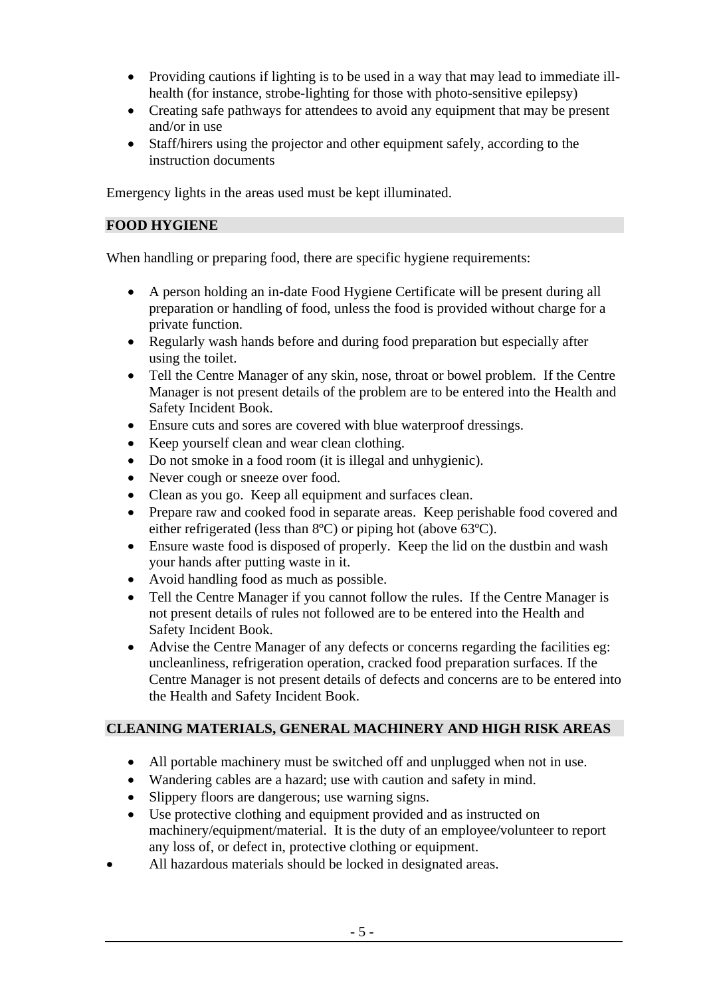- Providing cautions if lighting is to be used in a way that may lead to immediate illhealth (for instance, strobe-lighting for those with photo-sensitive epilepsy)
- Creating safe pathways for attendees to avoid any equipment that may be present and/or in use
- Staff/hirers using the projector and other equipment safely, according to the instruction documents

Emergency lights in the areas used must be kept illuminated.

### **FOOD HYGIENE**

When handling or preparing food, there are specific hygiene requirements:

- A person holding an in-date Food Hygiene Certificate will be present during all preparation or handling of food, unless the food is provided without charge for a private function.
- Regularly wash hands before and during food preparation but especially after using the toilet.
- Tell the Centre Manager of any skin, nose, throat or bowel problem. If the Centre Manager is not present details of the problem are to be entered into the Health and Safety Incident Book.
- Ensure cuts and sores are covered with blue waterproof dressings.
- Keep yourself clean and wear clean clothing.
- Do not smoke in a food room (it is illegal and unhygienic).
- Never cough or sneeze over food.
- Clean as you go. Keep all equipment and surfaces clean.
- Prepare raw and cooked food in separate areas. Keep perishable food covered and either refrigerated (less than 8ºC) or piping hot (above 63ºC).
- Ensure waste food is disposed of properly. Keep the lid on the dustbin and wash your hands after putting waste in it.
- Avoid handling food as much as possible.
- Tell the Centre Manager if you cannot follow the rules. If the Centre Manager is not present details of rules not followed are to be entered into the Health and Safety Incident Book.
- Advise the Centre Manager of any defects or concerns regarding the facilities eg: uncleanliness, refrigeration operation, cracked food preparation surfaces. If the Centre Manager is not present details of defects and concerns are to be entered into the Health and Safety Incident Book.

### **CLEANING MATERIALS, GENERAL MACHINERY AND HIGH RISK AREAS**

- All portable machinery must be switched off and unplugged when not in use.
- Wandering cables are a hazard; use with caution and safety in mind.
- Slippery floors are dangerous; use warning signs.
- Use protective clothing and equipment provided and as instructed on machinery/equipment/material. It is the duty of an employee/volunteer to report any loss of, or defect in, protective clothing or equipment.
- All hazardous materials should be locked in designated areas.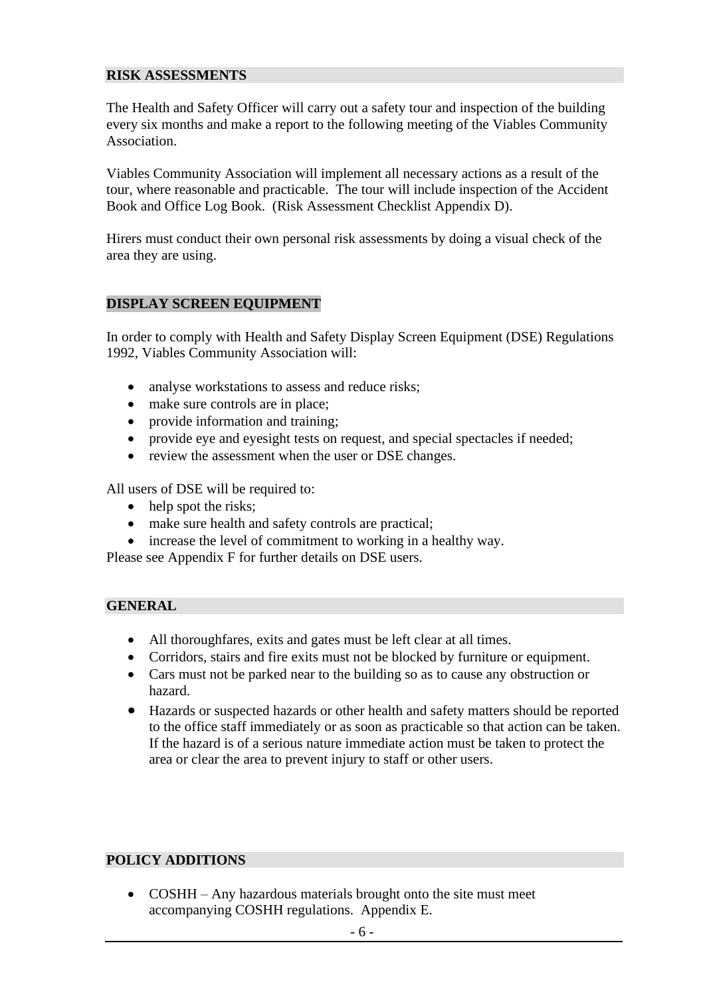### **RISK ASSESSMENTS**

The Health and Safety Officer will carry out a safety tour and inspection of the building every six months and make a report to the following meeting of the Viables Community Association.

Viables Community Association will implement all necessary actions as a result of the tour, where reasonable and practicable. The tour will include inspection of the Accident Book and Office Log Book. (Risk Assessment Checklist Appendix D).

Hirers must conduct their own personal risk assessments by doing a visual check of the area they are using.

### **DISPLAY SCREEN EQUIPMENT**

In order to comply with Health and Safety Display Screen Equipment (DSE) Regulations 1992, Viables Community Association will:

- analyse workstations to assess and reduce risks;
- make sure controls are in place;
- provide information and training;
- provide eye and eyesight tests on request, and special spectacles if needed;
- review the assessment when the user or DSE changes.

All users of DSE will be required to:

- help spot the risks;
- make sure health and safety controls are practical;
- increase the level of commitment to working in a healthy way.

Please see Appendix F for further details on DSE users.

#### **GENERAL**

- All thoroughfares, exits and gates must be left clear at all times.
- Corridors, stairs and fire exits must not be blocked by furniture or equipment.
- Cars must not be parked near to the building so as to cause any obstruction or hazard.
- Hazards or suspected hazards or other health and safety matters should be reported to the office staff immediately or as soon as practicable so that action can be taken. If the hazard is of a serious nature immediate action must be taken to protect the area or clear the area to prevent injury to staff or other users.

### **POLICY ADDITIONS**

• COSHH – Any hazardous materials brought onto the site must meet accompanying COSHH regulations. Appendix E.